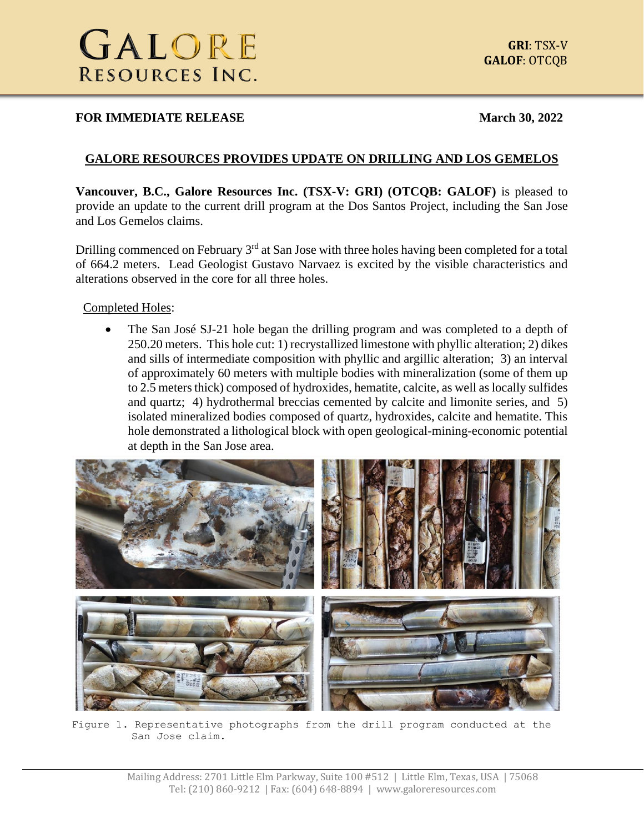#### **FOR IMMEDIATE RELEASE March** 30, 2022

## **GALORE RESOURCES PROVIDES UPDATE ON DRILLING AND LOS GEMELOS**

**Vancouver, B.C., Galore Resources Inc. (TSX-V: GRI) (OTCQB: GALOF)** is pleased to provide an update to the current drill program at the Dos Santos Project, including the San Jose and Los Gemelos claims.

Drilling commenced on February 3<sup>rd</sup> at San Jose with three holes having been completed for a total of 664.2 meters. Lead Geologist Gustavo Narvaez is excited by the visible characteristics and alterations observed in the core for all three holes.

Completed Holes:

• The San José SJ-21 hole began the drilling program and was completed to a depth of 250.20 meters. This hole cut: 1) recrystallized limestone with phyllic alteration; 2) dikes and sills of intermediate composition with phyllic and argillic alteration; 3) an interval of approximately 60 meters with multiple bodies with mineralization (some of them up to 2.5 meters thick) composed of hydroxides, hematite, calcite, as well as locally sulfides and quartz; 4) hydrothermal breccias cemented by calcite and limonite series, and 5) isolated mineralized bodies composed of quartz, hydroxides, calcite and hematite. This hole demonstrated a lithological block with open geological-mining-economic potential at depth in the San Jose area.



Figure 1. Representative photographs from the drill program conducted at the San Jose claim.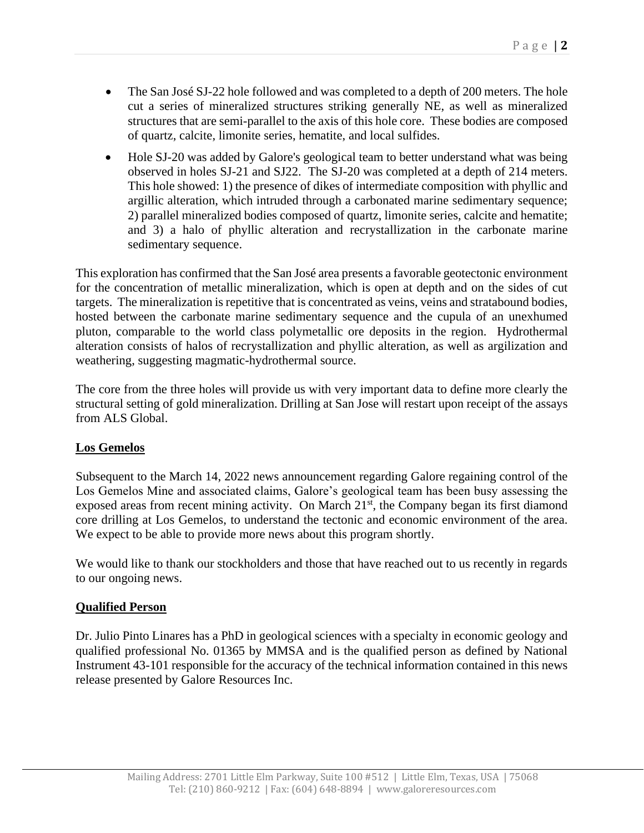- The San José SJ-22 hole followed and was completed to a depth of 200 meters. The hole cut a series of mineralized structures striking generally NE, as well as mineralized structures that are semi-parallel to the axis of this hole core. These bodies are composed of quartz, calcite, limonite series, hematite, and local sulfides.
- Hole SJ-20 was added by Galore's geological team to better understand what was being observed in holes SJ-21 and SJ22. The SJ-20 was completed at a depth of 214 meters. This hole showed: 1) the presence of dikes of intermediate composition with phyllic and argillic alteration, which intruded through a carbonated marine sedimentary sequence; 2) parallel mineralized bodies composed of quartz, limonite series, calcite and hematite; and 3) a halo of phyllic alteration and recrystallization in the carbonate marine sedimentary sequence.

This exploration has confirmed that the San José area presents a favorable geotectonic environment for the concentration of metallic mineralization, which is open at depth and on the sides of cut targets. The mineralization is repetitive that is concentrated as veins, veins and stratabound bodies, hosted between the carbonate marine sedimentary sequence and the cupula of an unexhumed pluton, comparable to the world class polymetallic ore deposits in the region. Hydrothermal alteration consists of halos of recrystallization and phyllic alteration, as well as argilization and weathering, suggesting magmatic-hydrothermal source.

The core from the three holes will provide us with very important data to define more clearly the structural setting of gold mineralization. Drilling at San Jose will restart upon receipt of the assays from ALS Global.

## **Los Gemelos**

Subsequent to the March 14, 2022 news announcement regarding Galore regaining control of the Los Gemelos Mine and associated claims, Galore's geological team has been busy assessing the exposed areas from recent mining activity. On March 21<sup>st</sup>, the Company began its first diamond core drilling at Los Gemelos, to understand the tectonic and economic environment of the area. We expect to be able to provide more news about this program shortly.

We would like to thank our stockholders and those that have reached out to us recently in regards to our ongoing news.

## **Qualified Person**

Dr. Julio Pinto Linares has a PhD in geological sciences with a specialty in economic geology and qualified professional No. 01365 by MMSA and is the qualified person as defined by National Instrument 43-101 responsible for the accuracy of the technical information contained in this news release presented by Galore Resources Inc.